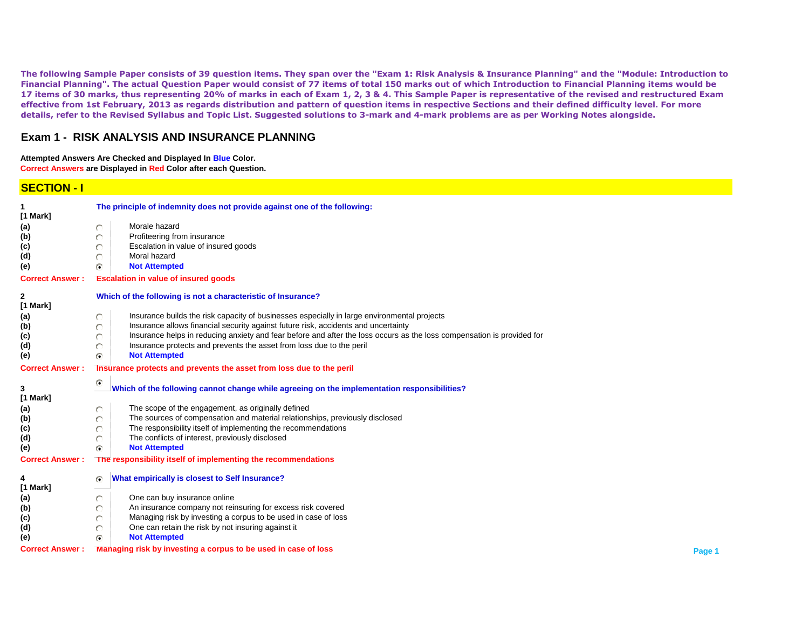**The following Sample Paper consists of 39 question items. They span over the "Exam 1: Risk Analysis & Insurance Planning" and the "Module: Introduction to Financial Planning". The actual Question Paper would consist of 77 items of total 150 marks out of which Introduction to Financial Planning items would be 17 items of 30 marks, thus representing 20% of marks in each of Exam 1, 2, 3 & 4. This Sample Paper is representative of the revised and restructured Exam effective from 1st February, 2013 as regards distribution and pattern of question items in respective Sections and their defined difficulty level. For more details, refer to the Revised Syllabus and Topic List. Suggested solutions to 3-mark and 4-mark problems are as per Working Notes alongside.**

#### **Exam 1 - RISK ANALYSIS AND INSURANCE PLANNING**

**Attempted Answers Are Checked and Displayed In Blue Color. Correct Answers are Displayed in Red Color after each Question.**

### **SECTION - I**

| [1 Mark]                                                                                                                           | The principle of indemnity does not provide against one of the following: |  |  |  |
|------------------------------------------------------------------------------------------------------------------------------------|---------------------------------------------------------------------------|--|--|--|
| Morale hazard                                                                                                                      |                                                                           |  |  |  |
| (a)<br>n<br>Profiteering from insurance                                                                                            |                                                                           |  |  |  |
| (b)<br>O<br>Escalation in value of insured goods                                                                                   |                                                                           |  |  |  |
| (c)<br>O<br>Moral hazard                                                                                                           |                                                                           |  |  |  |
| (d)<br>O                                                                                                                           |                                                                           |  |  |  |
| <b>Not Attempted</b><br>(e)<br>G.                                                                                                  |                                                                           |  |  |  |
| <b>Escalation in value of insured goods</b><br><b>Correct Answer:</b>                                                              |                                                                           |  |  |  |
| Which of the following is not a characteristic of Insurance?<br>2                                                                  |                                                                           |  |  |  |
| [1 Mark]                                                                                                                           |                                                                           |  |  |  |
| Insurance builds the risk capacity of businesses especially in large environmental projects<br>(a)<br>O                            |                                                                           |  |  |  |
| Insurance allows financial security against future risk, accidents and uncertainty<br>(b)<br>o                                     |                                                                           |  |  |  |
| Insurance helps in reducing anxiety and fear before and after the loss occurs as the loss compensation is provided for<br>O<br>(c) |                                                                           |  |  |  |
| Insurance protects and prevents the asset from loss due to the peril<br>(d)<br>Õ                                                   |                                                                           |  |  |  |
| <b>Not Attempted</b><br>(e)<br>G.                                                                                                  |                                                                           |  |  |  |
| <b>Correct Answer:</b><br>Insurance protects and prevents the asset from loss due to the peril                                     |                                                                           |  |  |  |
| G<br>Which of the following cannot change while agreeing on the implementation responsibilities?<br>3                              |                                                                           |  |  |  |
| [1 Mark]                                                                                                                           |                                                                           |  |  |  |
| The scope of the engagement, as originally defined<br>(a)<br>O                                                                     |                                                                           |  |  |  |
| The sources of compensation and material relationships, previously disclosed<br>O<br>(b)                                           |                                                                           |  |  |  |
| The responsibility itself of implementing the recommendations<br>(c)<br>O                                                          |                                                                           |  |  |  |
| The conflicts of interest, previously disclosed<br>(d)<br>Ō                                                                        |                                                                           |  |  |  |
| <b>Not Attempted</b><br>G.<br>(e)                                                                                                  |                                                                           |  |  |  |
| The responsibility itself of implementing the recommendations<br><b>Correct Answer:</b>                                            |                                                                           |  |  |  |
| What empirically is closest to Self Insurance?<br>4<br>G.                                                                          |                                                                           |  |  |  |
| [1 Mark]                                                                                                                           |                                                                           |  |  |  |
| One can buy insurance online<br>o<br>(a)                                                                                           |                                                                           |  |  |  |
| An insurance company not reinsuring for excess risk covered<br>(b)<br>O                                                            |                                                                           |  |  |  |
| Managing risk by investing a corpus to be used in case of loss<br>O<br>(c)                                                         |                                                                           |  |  |  |
| One can retain the risk by not insuring against it<br>(d)<br>O                                                                     |                                                                           |  |  |  |
| <b>Not Attempted</b><br>(e)<br>ra.                                                                                                 |                                                                           |  |  |  |
| Managing risk by investing a corpus to be used in case of loss<br><b>Correct Answer:</b>                                           | Page 1                                                                    |  |  |  |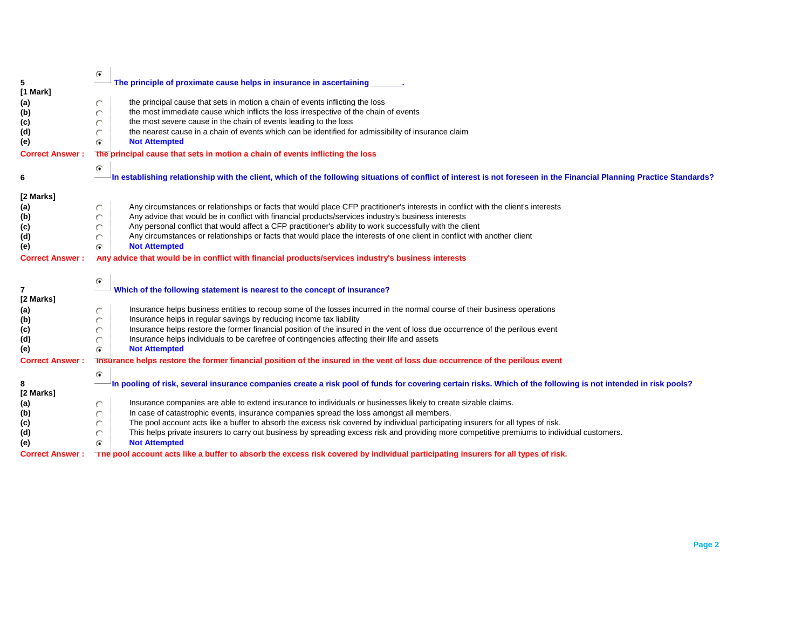|                        | $\mathbf G$                                                                                                                                                           |  |  |  |
|------------------------|-----------------------------------------------------------------------------------------------------------------------------------------------------------------------|--|--|--|
| 5                      | The principle of proximate cause helps in insurance in ascertaining                                                                                                   |  |  |  |
| [1 Mark]               |                                                                                                                                                                       |  |  |  |
| (a)                    | the principal cause that sets in motion a chain of events inflicting the loss<br>O                                                                                    |  |  |  |
| (b)                    | the most immediate cause which inflicts the loss irrespective of the chain of events                                                                                  |  |  |  |
| (c)                    | the most severe cause in the chain of events leading to the loss                                                                                                      |  |  |  |
| (d)                    | the nearest cause in a chain of events which can be identified for admissibility of insurance claim                                                                   |  |  |  |
|                        |                                                                                                                                                                       |  |  |  |
| (e)                    | <b>Not Attempted</b><br>G                                                                                                                                             |  |  |  |
| <b>Correct Answer:</b> | the principal cause that sets in motion a chain of events inflicting the loss                                                                                         |  |  |  |
|                        | $\mathbf{G}$                                                                                                                                                          |  |  |  |
| 6                      | In establishing relationship with the client, which of the following situations of conflict of interest is not foreseen in the Financial Planning Practice Standards? |  |  |  |
|                        |                                                                                                                                                                       |  |  |  |
| [2 Marks]              |                                                                                                                                                                       |  |  |  |
| (a)                    | Any circumstances or relationships or facts that would place CFP practitioner's interests in conflict with the client's interests<br>O                                |  |  |  |
| (b)                    | Any advice that would be in conflict with financial products/services industry's business interests                                                                   |  |  |  |
| (c)                    | Any personal conflict that would affect a CFP practitioner's ability to work successfully with the client                                                             |  |  |  |
| (d)                    | Any circumstances or relationships or facts that would place the interests of one client in conflict with another client<br>O                                         |  |  |  |
|                        | <b>Not Attempted</b>                                                                                                                                                  |  |  |  |
| (e)                    | G                                                                                                                                                                     |  |  |  |
| <b>Correct Answer:</b> | Any advice that would be in conflict with financial products/services industry's business interests                                                                   |  |  |  |
|                        |                                                                                                                                                                       |  |  |  |
|                        | $\bullet$                                                                                                                                                             |  |  |  |
| $\overline{7}$         | Which of the following statement is nearest to the concept of insurance?                                                                                              |  |  |  |
| [2 Marks]              |                                                                                                                                                                       |  |  |  |
| (a)                    | Insurance helps business entities to recoup some of the losses incurred in the normal course of their business operations<br>O                                        |  |  |  |
| (b)                    | Insurance helps in regular savings by reducing income tax liability                                                                                                   |  |  |  |
| (c)                    | Insurance helps restore the former financial position of the insured in the vent of loss due occurrence of the perilous event                                         |  |  |  |
| (d)                    | Insurance helps individuals to be carefree of contingencies affecting their life and assets                                                                           |  |  |  |
| (e)                    | <b>Not Attempted</b><br>G.                                                                                                                                            |  |  |  |
| <b>Correct Answer:</b> | Insurance helps restore the former financial position of the insured in the vent of loss due occurrence of the perilous event                                         |  |  |  |
|                        |                                                                                                                                                                       |  |  |  |
|                        | $\mathbf{G}$                                                                                                                                                          |  |  |  |
| 8                      | In pooling of risk, several insurance companies create a risk pool of funds for covering certain risks. Which of the following is not intended in risk pools?         |  |  |  |
| [2 Marks]              |                                                                                                                                                                       |  |  |  |
| (a)                    | Insurance companies are able to extend insurance to individuals or businesses likely to create sizable claims.<br>O                                                   |  |  |  |
| (b)                    | In case of catastrophic events, insurance companies spread the loss amongst all members.                                                                              |  |  |  |
| (c)                    | The pool account acts like a buffer to absorb the excess risk covered by individual participating insurers for all types of risk.                                     |  |  |  |
| (d)                    | This helps private insurers to carry out business by spreading excess risk and providing more competitive premiums to individual customers.                           |  |  |  |
| (e)                    | <b>Not Attempted</b><br>$\bullet$                                                                                                                                     |  |  |  |
| <b>Correct Answer:</b> | The pool account acts like a buffer to absorb the excess risk covered by individual participating insurers for all types of risk.                                     |  |  |  |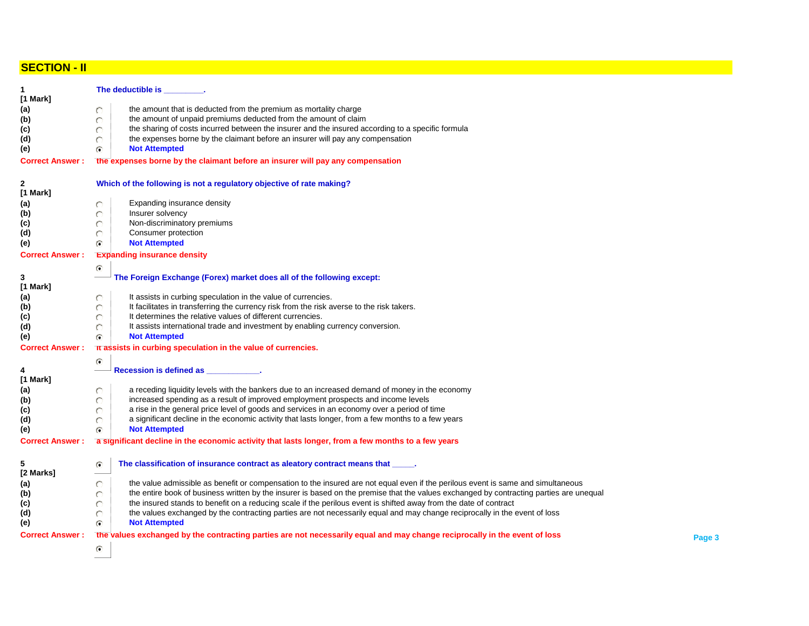## **SECTION - II**

| 1<br>$[1$ Mark]        | The deductible is _                                                                                                                     |        |  |  |  |  |
|------------------------|-----------------------------------------------------------------------------------------------------------------------------------------|--------|--|--|--|--|
| (a)                    | the amount that is deducted from the premium as mortality charge<br>O                                                                   |        |  |  |  |  |
| (b)                    | the amount of unpaid premiums deducted from the amount of claim<br>O                                                                    |        |  |  |  |  |
|                        | the sharing of costs incurred between the insurer and the insured according to a specific formula                                       |        |  |  |  |  |
| (c)                    | the expenses borne by the claimant before an insurer will pay any compensation                                                          |        |  |  |  |  |
| (d)                    | <b>Not Attempted</b><br>r.                                                                                                              |        |  |  |  |  |
| (e)                    |                                                                                                                                         |        |  |  |  |  |
| <b>Correct Answer:</b> | the expenses borne by the claimant before an insurer will pay any compensation                                                          |        |  |  |  |  |
| $\mathbf{2}$           | Which of the following is not a regulatory objective of rate making?                                                                    |        |  |  |  |  |
| [1 Mark]               |                                                                                                                                         |        |  |  |  |  |
| (a)                    | Expanding insurance density                                                                                                             |        |  |  |  |  |
| (b)                    | Insurer solvency<br>O                                                                                                                   |        |  |  |  |  |
| (c)                    | Non-discriminatory premiums                                                                                                             |        |  |  |  |  |
| (d)                    | Consumer protection                                                                                                                     |        |  |  |  |  |
| (e)                    | <b>Not Attempted</b><br>G.                                                                                                              |        |  |  |  |  |
| <b>Correct Answer:</b> | <b>Expanding insurance density</b>                                                                                                      |        |  |  |  |  |
|                        | G                                                                                                                                       |        |  |  |  |  |
| 3                      | The Foreign Exchange (Forex) market does all of the following except:                                                                   |        |  |  |  |  |
| $[1$ Mark]             |                                                                                                                                         |        |  |  |  |  |
| (a)                    | It assists in curbing speculation in the value of currencies.<br>O                                                                      |        |  |  |  |  |
| (b)                    | It facilitates in transferring the currency risk from the risk averse to the risk takers.<br>O                                          |        |  |  |  |  |
| (c)                    | It determines the relative values of different currencies.                                                                              |        |  |  |  |  |
| (d)                    | It assists international trade and investment by enabling currency conversion.                                                          |        |  |  |  |  |
| (e)                    | <b>Not Attempted</b><br>G                                                                                                               |        |  |  |  |  |
| <b>Correct Answer:</b> | It assists in curbing speculation in the value of currencies.                                                                           |        |  |  |  |  |
|                        |                                                                                                                                         |        |  |  |  |  |
|                        | G                                                                                                                                       |        |  |  |  |  |
| 4                      | Recession is defined as                                                                                                                 |        |  |  |  |  |
| $[1$ Mark]             |                                                                                                                                         |        |  |  |  |  |
| (a)                    | a receding liquidity levels with the bankers due to an increased demand of money in the economy<br>O                                    |        |  |  |  |  |
| (b)                    | increased spending as a result of improved employment prospects and income levels<br>O                                                  |        |  |  |  |  |
| (c)                    | a rise in the general price level of goods and services in an economy over a period of time<br>O                                        |        |  |  |  |  |
| (d)                    | a significant decline in the economic activity that lasts longer, from a few months to a few years<br>O                                 |        |  |  |  |  |
| (e)                    | <b>Not Attempted</b><br>G                                                                                                               |        |  |  |  |  |
| <b>Correct Answer:</b> | a significant decline in the economic activity that lasts longer, from a few months to a few years                                      |        |  |  |  |  |
| 5<br>[2 Marks]         | The classification of insurance contract as aleatory contract means that<br>G                                                           |        |  |  |  |  |
| (a)                    | the value admissible as benefit or compensation to the insured are not equal even if the perilous event is same and simultaneous        |        |  |  |  |  |
| (b)                    | the entire book of business written by the insurer is based on the premise that the values exchanged by contracting parties are unequal |        |  |  |  |  |
| (c)                    | the insured stands to benefit on a reducing scale if the perilous event is shifted away from the date of contract                       |        |  |  |  |  |
| (d)                    | the values exchanged by the contracting parties are not necessarily equal and may change reciprocally in the event of loss              |        |  |  |  |  |
| (e)                    | <b>Not Attempted</b><br>G                                                                                                               |        |  |  |  |  |
|                        |                                                                                                                                         |        |  |  |  |  |
| <b>Correct Answer:</b> | the values exchanged by the contracting parties are not necessarily equal and may change reciprocally in the event of loss              | Page 3 |  |  |  |  |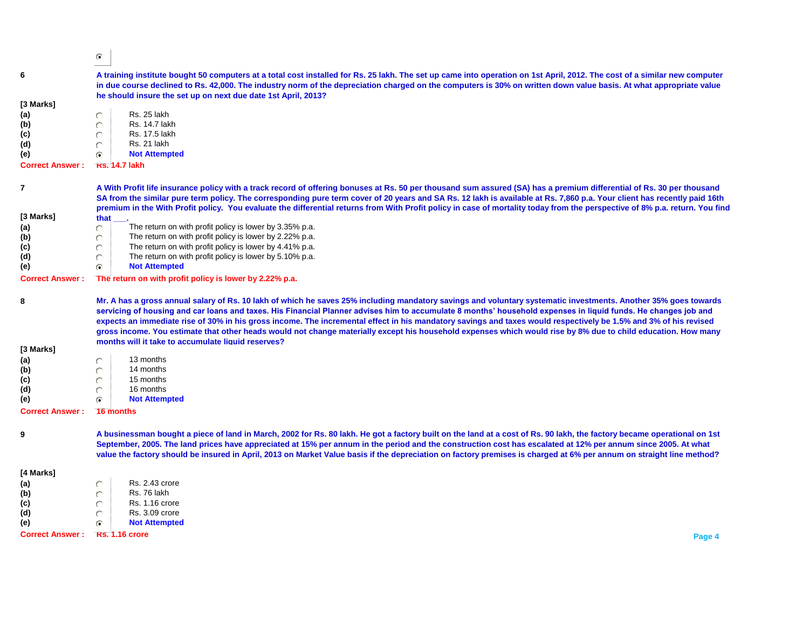$\odot$ 

| 6                      | A training institute bought 50 computers at a total cost installed for Rs. 25 lakh. The set up came into operation on 1st April, 2012. The cost of a similar new computer<br>in due course declined to Rs. 42,000. The industry norm of the depreciation charged on the computers is 30% on written down value basis. At what appropriate value<br>he should insure the set up on next due date 1st April, 2013?                                                                                                                                                                                                                                                                                                             |  |  |
|------------------------|------------------------------------------------------------------------------------------------------------------------------------------------------------------------------------------------------------------------------------------------------------------------------------------------------------------------------------------------------------------------------------------------------------------------------------------------------------------------------------------------------------------------------------------------------------------------------------------------------------------------------------------------------------------------------------------------------------------------------|--|--|
| [3 Marks]              |                                                                                                                                                                                                                                                                                                                                                                                                                                                                                                                                                                                                                                                                                                                              |  |  |
|                        | Rs. 25 lakh<br>Õ                                                                                                                                                                                                                                                                                                                                                                                                                                                                                                                                                                                                                                                                                                             |  |  |
| (a)                    | Rs. 14.7 lakh                                                                                                                                                                                                                                                                                                                                                                                                                                                                                                                                                                                                                                                                                                                |  |  |
| (b)                    |                                                                                                                                                                                                                                                                                                                                                                                                                                                                                                                                                                                                                                                                                                                              |  |  |
| (c)                    | Rs. 17.5 lakh                                                                                                                                                                                                                                                                                                                                                                                                                                                                                                                                                                                                                                                                                                                |  |  |
| (d)                    | Rs. 21 lakh                                                                                                                                                                                                                                                                                                                                                                                                                                                                                                                                                                                                                                                                                                                  |  |  |
| (e)                    | <b>Not Attempted</b><br>r.                                                                                                                                                                                                                                                                                                                                                                                                                                                                                                                                                                                                                                                                                                   |  |  |
| <b>Correct Answer:</b> | <b>KS. 14.7 lakh</b>                                                                                                                                                                                                                                                                                                                                                                                                                                                                                                                                                                                                                                                                                                         |  |  |
| $\overline{7}$         | A With Profit life insurance policy with a track record of offering bonuses at Rs. 50 per thousand sum assured (SA) has a premium differential of Rs. 30 per thousand                                                                                                                                                                                                                                                                                                                                                                                                                                                                                                                                                        |  |  |
|                        | SA from the similar pure term policy. The corresponding pure term cover of 20 years and SA Rs. 12 lakh is available at Rs. 7,860 p.a. Your client has recently paid 16th<br>premium in the With Profit policy. You evaluate the differential returns from With Profit policy in case of mortality today from the perspective of 8% p.a. return. You find                                                                                                                                                                                                                                                                                                                                                                     |  |  |
| [3 Marks]              | that                                                                                                                                                                                                                                                                                                                                                                                                                                                                                                                                                                                                                                                                                                                         |  |  |
| (a)                    | The return on with profit policy is lower by 3.35% p.a.<br>Õ                                                                                                                                                                                                                                                                                                                                                                                                                                                                                                                                                                                                                                                                 |  |  |
| (b)                    | The return on with profit policy is lower by 2.22% p.a.<br>O                                                                                                                                                                                                                                                                                                                                                                                                                                                                                                                                                                                                                                                                 |  |  |
| (c)                    | The return on with profit policy is lower by 4.41% p.a.<br>O                                                                                                                                                                                                                                                                                                                                                                                                                                                                                                                                                                                                                                                                 |  |  |
| (d)                    | The return on with profit policy is lower by 5.10% p.a.                                                                                                                                                                                                                                                                                                                                                                                                                                                                                                                                                                                                                                                                      |  |  |
| (e)                    | <b>Not Attempted</b><br>G.                                                                                                                                                                                                                                                                                                                                                                                                                                                                                                                                                                                                                                                                                                   |  |  |
| <b>Correct Answer:</b> | The return on with profit policy is lower by 2.22% p.a.                                                                                                                                                                                                                                                                                                                                                                                                                                                                                                                                                                                                                                                                      |  |  |
| 8                      | Mr. A has a gross annual salary of Rs. 10 lakh of which he saves 25% including mandatory savings and voluntary systematic investments. Another 35% goes towards<br>servicing of housing and car loans and taxes. His Financial Planner advises him to accumulate 8 months' household expenses in liquid funds. He changes job and<br>expects an immediate rise of 30% in his gross income. The incremental effect in his mandatory savings and taxes would respectively be 1.5% and 3% of his revised<br>gross income. You estimate that other heads would not change materially except his household expenses which would rise by 8% due to child education. How many<br>months will it take to accumulate liquid reserves? |  |  |
| [3 Marks]              |                                                                                                                                                                                                                                                                                                                                                                                                                                                                                                                                                                                                                                                                                                                              |  |  |
| (a)                    | 13 months<br>O                                                                                                                                                                                                                                                                                                                                                                                                                                                                                                                                                                                                                                                                                                               |  |  |
| (b)                    | 14 months<br>O                                                                                                                                                                                                                                                                                                                                                                                                                                                                                                                                                                                                                                                                                                               |  |  |
| (c)                    | 15 months<br>O                                                                                                                                                                                                                                                                                                                                                                                                                                                                                                                                                                                                                                                                                                               |  |  |
| (d)                    | 16 months<br>O                                                                                                                                                                                                                                                                                                                                                                                                                                                                                                                                                                                                                                                                                                               |  |  |
| (e)                    | <b>Not Attempted</b><br>G                                                                                                                                                                                                                                                                                                                                                                                                                                                                                                                                                                                                                                                                                                    |  |  |
| <b>Correct Answer:</b> | 16 months                                                                                                                                                                                                                                                                                                                                                                                                                                                                                                                                                                                                                                                                                                                    |  |  |
| 9                      | A businessman bought a piece of land in March, 2002 for Rs. 80 lakh. He got a factory built on the land at a cost of Rs. 90 lakh, the factory became operational on 1st<br>September, 2005. The land prices have appreciated at 15% per annum in the period and the construction cost has escalated at 12% per annum since 2005. At what<br>value the factory should be insured in April, 2013 on Market Value basis if the depreciation on factory premises is charged at 6% per annum on straight line method?                                                                                                                                                                                                             |  |  |
|                        |                                                                                                                                                                                                                                                                                                                                                                                                                                                                                                                                                                                                                                                                                                                              |  |  |
| [4 Marks]              |                                                                                                                                                                                                                                                                                                                                                                                                                                                                                                                                                                                                                                                                                                                              |  |  |
| (a)                    | Rs. 2.43 crore<br>O                                                                                                                                                                                                                                                                                                                                                                                                                                                                                                                                                                                                                                                                                                          |  |  |
| (b)                    | Rs. 76 lakh<br>O                                                                                                                                                                                                                                                                                                                                                                                                                                                                                                                                                                                                                                                                                                             |  |  |
| (c)                    | <b>Rs. 1.16 crore</b><br>O                                                                                                                                                                                                                                                                                                                                                                                                                                                                                                                                                                                                                                                                                                   |  |  |
| (d)                    | <b>Rs. 3.09 crore</b>                                                                                                                                                                                                                                                                                                                                                                                                                                                                                                                                                                                                                                                                                                        |  |  |
| (e)                    | <b>Not Attempted</b><br>G                                                                                                                                                                                                                                                                                                                                                                                                                                                                                                                                                                                                                                                                                                    |  |  |
| <b>Correct Answer:</b> | <b>Rs. 1.16 crore</b><br>Page 4                                                                                                                                                                                                                                                                                                                                                                                                                                                                                                                                                                                                                                                                                              |  |  |
|                        |                                                                                                                                                                                                                                                                                                                                                                                                                                                                                                                                                                                                                                                                                                                              |  |  |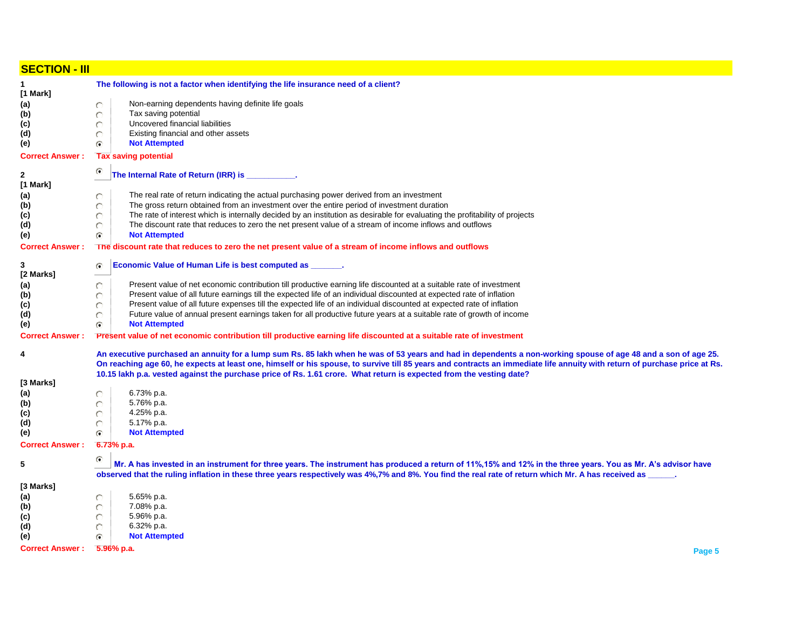| <b>SECTION - III</b>       |                                                                                                                                                                                                                                                                                                                                                                                                                                                                    |  |  |  |  |
|----------------------------|--------------------------------------------------------------------------------------------------------------------------------------------------------------------------------------------------------------------------------------------------------------------------------------------------------------------------------------------------------------------------------------------------------------------------------------------------------------------|--|--|--|--|
| 1                          | The following is not a factor when identifying the life insurance need of a client?                                                                                                                                                                                                                                                                                                                                                                                |  |  |  |  |
| [1 Mark]                   |                                                                                                                                                                                                                                                                                                                                                                                                                                                                    |  |  |  |  |
| (a)                        | Non-earning dependents having definite life goals<br>O                                                                                                                                                                                                                                                                                                                                                                                                             |  |  |  |  |
| (b)                        | Tax saving potential<br>O                                                                                                                                                                                                                                                                                                                                                                                                                                          |  |  |  |  |
| (c)<br>(d)                 | O<br>Uncovered financial liabilities<br>Existing financial and other assets<br>O                                                                                                                                                                                                                                                                                                                                                                                   |  |  |  |  |
| (e)                        | <b>Not Attempted</b><br>G                                                                                                                                                                                                                                                                                                                                                                                                                                          |  |  |  |  |
| <b>Correct Answer:</b>     | <b>Tax saving potential</b>                                                                                                                                                                                                                                                                                                                                                                                                                                        |  |  |  |  |
|                            | ۵<br>The Internal Rate of Return (IRR) is __________.                                                                                                                                                                                                                                                                                                                                                                                                              |  |  |  |  |
| $\mathbf{2}$<br>[1 Mark]   |                                                                                                                                                                                                                                                                                                                                                                                                                                                                    |  |  |  |  |
| (a)                        | The real rate of return indicating the actual purchasing power derived from an investment<br>O                                                                                                                                                                                                                                                                                                                                                                     |  |  |  |  |
| (b)                        | The gross return obtained from an investment over the entire period of investment duration<br>O                                                                                                                                                                                                                                                                                                                                                                    |  |  |  |  |
| (c)                        | The rate of interest which is internally decided by an institution as desirable for evaluating the profitability of projects<br>O                                                                                                                                                                                                                                                                                                                                  |  |  |  |  |
| (d)                        | The discount rate that reduces to zero the net present value of a stream of income inflows and outflows<br>O                                                                                                                                                                                                                                                                                                                                                       |  |  |  |  |
| (e)                        | G.<br><b>Not Attempted</b>                                                                                                                                                                                                                                                                                                                                                                                                                                         |  |  |  |  |
| <b>Correct Answer:</b>     | The discount rate that reduces to zero the net present value of a stream of income inflows and outflows                                                                                                                                                                                                                                                                                                                                                            |  |  |  |  |
| 3                          | Economic Value of Human Life is best computed as ____<br>G.                                                                                                                                                                                                                                                                                                                                                                                                        |  |  |  |  |
| [2 Marks]                  |                                                                                                                                                                                                                                                                                                                                                                                                                                                                    |  |  |  |  |
| (a)                        | Present value of net economic contribution till productive earning life discounted at a suitable rate of investment<br>O                                                                                                                                                                                                                                                                                                                                           |  |  |  |  |
| (b)                        | Present value of all future earnings till the expected life of an individual discounted at expected rate of inflation<br>O                                                                                                                                                                                                                                                                                                                                         |  |  |  |  |
| (c)                        | Present value of all future expenses till the expected life of an individual discounted at expected rate of inflation<br>O                                                                                                                                                                                                                                                                                                                                         |  |  |  |  |
| (d)                        | Future value of annual present earnings taken for all productive future years at a suitable rate of growth of income<br>O                                                                                                                                                                                                                                                                                                                                          |  |  |  |  |
| (e)                        | <b>Not Attempted</b><br>G                                                                                                                                                                                                                                                                                                                                                                                                                                          |  |  |  |  |
| <b>Correct Answer:</b>     | Present value of net economic contribution till productive earning life discounted at a suitable rate of investment                                                                                                                                                                                                                                                                                                                                                |  |  |  |  |
| 4                          | An executive purchased an annuity for a lump sum Rs. 85 lakh when he was of 53 years and had in dependents a non-working spouse of age 48 and a son of age 25.<br>On reaching age 60, he expects at least one, himself or his spouse, to survive till 85 years and contracts an immediate life annuity with return of purchase price at Rs.<br>10.15 lakh p.a. vested against the purchase price of Rs. 1.61 crore. What return is expected from the vesting date? |  |  |  |  |
| [3 Marks]                  |                                                                                                                                                                                                                                                                                                                                                                                                                                                                    |  |  |  |  |
| (a)                        | 6.73% p.a.<br>O                                                                                                                                                                                                                                                                                                                                                                                                                                                    |  |  |  |  |
| (b)                        | 5.76% p.a.<br>O                                                                                                                                                                                                                                                                                                                                                                                                                                                    |  |  |  |  |
| (c)                        | 4.25% p.a.<br>O                                                                                                                                                                                                                                                                                                                                                                                                                                                    |  |  |  |  |
| (d)                        | 5.17% p.a.<br>O                                                                                                                                                                                                                                                                                                                                                                                                                                                    |  |  |  |  |
| (e)                        | <b>Not Attempted</b><br>$\bullet$                                                                                                                                                                                                                                                                                                                                                                                                                                  |  |  |  |  |
| <b>Correct Answer:</b>     | $6.73%$ p.a.                                                                                                                                                                                                                                                                                                                                                                                                                                                       |  |  |  |  |
| 5                          | O<br>Mr. A has invested in an instrument for three years. The instrument has produced a return of 11%,15% and 12% in the three years. You as Mr. A's advisor have<br>observed that the ruling inflation in these three years respectively was 4%,7% and 8%. You find the real rate of return which Mr. A has received as _____.                                                                                                                                    |  |  |  |  |
| [3 Marks]                  |                                                                                                                                                                                                                                                                                                                                                                                                                                                                    |  |  |  |  |
| (a)                        | 5.65% p.a.<br>O                                                                                                                                                                                                                                                                                                                                                                                                                                                    |  |  |  |  |
| (b)                        | 7.08% p.a.<br>O                                                                                                                                                                                                                                                                                                                                                                                                                                                    |  |  |  |  |
| (c)                        | 5.96% p.a.<br>O                                                                                                                                                                                                                                                                                                                                                                                                                                                    |  |  |  |  |
| (d)                        | 6.32% p.a.<br>O                                                                                                                                                                                                                                                                                                                                                                                                                                                    |  |  |  |  |
| (e)                        | G<br><b>Not Attempted</b>                                                                                                                                                                                                                                                                                                                                                                                                                                          |  |  |  |  |
| Correct Answer: 5.96% p.a. | Page 5                                                                                                                                                                                                                                                                                                                                                                                                                                                             |  |  |  |  |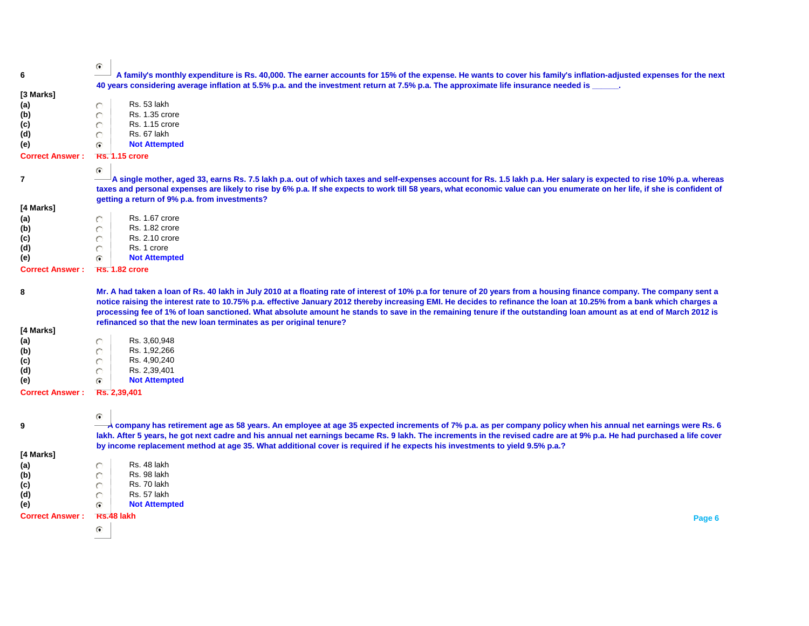| 6                          | G<br>A family's monthly expenditure is Rs. 40,000. The earner accounts for 15% of the expense. He wants to cover his family's inflation-adjusted expenses for the next                                                                                                                                                                 |  |
|----------------------------|----------------------------------------------------------------------------------------------------------------------------------------------------------------------------------------------------------------------------------------------------------------------------------------------------------------------------------------|--|
|                            | 40 years considering average inflation at 5.5% p.a. and the investment return at 7.5% p.a. The approximate life insurance needed is _                                                                                                                                                                                                  |  |
| [3 Marks]                  |                                                                                                                                                                                                                                                                                                                                        |  |
| (a)                        | Rs. 53 lakh<br>O                                                                                                                                                                                                                                                                                                                       |  |
| (b)                        | <b>Rs. 1.35 crore</b><br>O                                                                                                                                                                                                                                                                                                             |  |
| (c)                        | <b>Rs. 1.15 crore</b><br>O                                                                                                                                                                                                                                                                                                             |  |
| (d)                        | Rs. 67 lakh<br>O                                                                                                                                                                                                                                                                                                                       |  |
| (e)                        | <b>Not Attempted</b><br>G.                                                                                                                                                                                                                                                                                                             |  |
| <b>Correct Answer:</b>     | <b>Rs. 1.15 crore</b>                                                                                                                                                                                                                                                                                                                  |  |
|                            | G                                                                                                                                                                                                                                                                                                                                      |  |
| 7                          | A single mother, aged 33, earns Rs. 7.5 lakh p.a. out of which taxes and self-expenses account for Rs. 1.5 lakh p.a. Her salary is expected to rise 10% p.a. whereas                                                                                                                                                                   |  |
|                            | taxes and personal expenses are likely to rise by 6% p.a. If she expects to work till 58 years, what economic value can you enumerate on her life, if she is confident of                                                                                                                                                              |  |
|                            | getting a return of 9% p.a. from investments?                                                                                                                                                                                                                                                                                          |  |
| [4 Marks]                  |                                                                                                                                                                                                                                                                                                                                        |  |
| (a)                        | Rs. 1.67 crore                                                                                                                                                                                                                                                                                                                         |  |
| (b)                        | <b>Rs. 1.82 crore</b><br>O<br><b>Rs. 2.10 crore</b>                                                                                                                                                                                                                                                                                    |  |
| (c)<br>(d)                 | O<br>Rs. 1 crore<br>$\circ$                                                                                                                                                                                                                                                                                                            |  |
| (e)                        | <b>Not Attempted</b><br>G.                                                                                                                                                                                                                                                                                                             |  |
| <b>Correct Answer:</b>     | <b>KS. 1.82 crore</b>                                                                                                                                                                                                                                                                                                                  |  |
|                            |                                                                                                                                                                                                                                                                                                                                        |  |
| 8                          | Mr. A had taken a loan of Rs. 40 lakh in July 2010 at a floating rate of interest of 10% p.a for tenure of 20 years from a housing finance company. The company sent a                                                                                                                                                                 |  |
|                            | notice raising the interest rate to 10.75% p.a. effective January 2012 thereby increasing EMI. He decides to refinance the Ioan at 10.25% from a bank which charges a                                                                                                                                                                  |  |
|                            | processing fee of 1% of loan sanctioned. What absolute amount he stands to save in the remaining tenure if the outstanding loan amount as at end of March 2012 is                                                                                                                                                                      |  |
|                            | refinanced so that the new loan terminates as per original tenure?                                                                                                                                                                                                                                                                     |  |
| [4 Marks]                  |                                                                                                                                                                                                                                                                                                                                        |  |
| (a)                        | Rs. 3,60,948<br>O                                                                                                                                                                                                                                                                                                                      |  |
| (b)                        | Rs. 1,92,266<br>O                                                                                                                                                                                                                                                                                                                      |  |
| (c)                        | Rs. 4,90,240<br>O                                                                                                                                                                                                                                                                                                                      |  |
| (d)                        | Rs. 2,39,401<br>O<br><b>Not Attempted</b><br>G.                                                                                                                                                                                                                                                                                        |  |
| (e)                        |                                                                                                                                                                                                                                                                                                                                        |  |
| <b>Correct Answer:</b>     | Rs. 2,39,401                                                                                                                                                                                                                                                                                                                           |  |
|                            |                                                                                                                                                                                                                                                                                                                                        |  |
|                            | G                                                                                                                                                                                                                                                                                                                                      |  |
| 9                          | A company has retirement age as 58 years. An employee at age 35 expected increments of 7% p.a. as per company policy when his annual net earnings were Rs. 6<br>lakh. After 5 years, he got next cadre and his annual net earnings became Rs. 9 lakh. The increments in the revised cadre are at 9% p.a. He had purchased a life cover |  |
|                            | by income replacement method at age 35. What additional cover is required if he expects his investments to yield 9.5% p.a.?                                                                                                                                                                                                            |  |
| [4 Marks]                  |                                                                                                                                                                                                                                                                                                                                        |  |
| (a)                        | Rs. 48 lakh                                                                                                                                                                                                                                                                                                                            |  |
| (b)                        | Rs. 98 lakh<br>O                                                                                                                                                                                                                                                                                                                       |  |
| (c)                        | Rs. 70 lakh                                                                                                                                                                                                                                                                                                                            |  |
| (d)                        | Rs. 57 lakh<br>O                                                                                                                                                                                                                                                                                                                       |  |
| (e)                        | <b>Not Attempted</b><br>G.                                                                                                                                                                                                                                                                                                             |  |
| Correct Answer: Rs.48 lakh | Page 6                                                                                                                                                                                                                                                                                                                                 |  |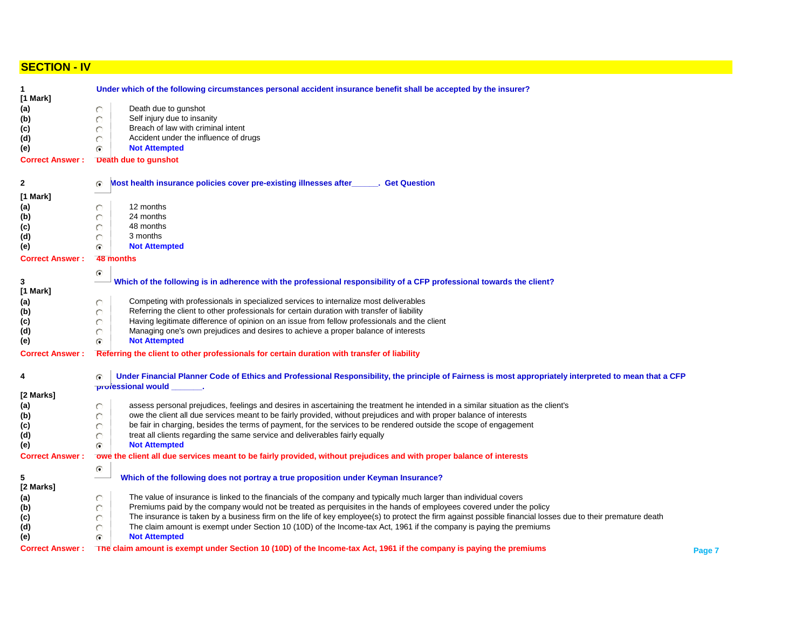## **SECTION - IV**

| $\mathbf{1}$<br>$[1$ Mark] | Under which of the following circumstances personal accident insurance benefit shall be accepted by the insurer?                                                 |        |  |  |  |  |
|----------------------------|------------------------------------------------------------------------------------------------------------------------------------------------------------------|--------|--|--|--|--|
| (a)                        | Death due to gunshot                                                                                                                                             |        |  |  |  |  |
| (b)                        | Self injury due to insanity                                                                                                                                      |        |  |  |  |  |
| (c)                        | Breach of law with criminal intent                                                                                                                               |        |  |  |  |  |
|                            |                                                                                                                                                                  |        |  |  |  |  |
| (d)                        | Accident under the influence of drugs<br>O                                                                                                                       |        |  |  |  |  |
| (e)                        | <b>Not Attempted</b><br>G                                                                                                                                        |        |  |  |  |  |
| <b>Correct Answer:</b>     | Death due to gunshot                                                                                                                                             |        |  |  |  |  |
| $\mathbf{2}$               | Most health insurance policies cover pre-existing illnesses after ______. Get Question                                                                           |        |  |  |  |  |
| [1 Mark]                   |                                                                                                                                                                  |        |  |  |  |  |
| (a)                        | 12 months                                                                                                                                                        |        |  |  |  |  |
| (b)                        | 24 months                                                                                                                                                        |        |  |  |  |  |
| (c)                        | 48 months                                                                                                                                                        |        |  |  |  |  |
| (d)                        | 3 months                                                                                                                                                         |        |  |  |  |  |
| (e)                        | <b>Not Attempted</b><br>G                                                                                                                                        |        |  |  |  |  |
| <b>Correct Answer:</b>     | 48 months                                                                                                                                                        |        |  |  |  |  |
|                            |                                                                                                                                                                  |        |  |  |  |  |
| 3                          | G<br>Which of the following is in adherence with the professional responsibility of a CFP professional towards the client?                                       |        |  |  |  |  |
| [1 Mark]                   |                                                                                                                                                                  |        |  |  |  |  |
|                            | Competing with professionals in specialized services to internalize most deliverables                                                                            |        |  |  |  |  |
| (a)                        | O<br>Referring the client to other professionals for certain duration with transfer of liability                                                                 |        |  |  |  |  |
| (b)                        |                                                                                                                                                                  |        |  |  |  |  |
| (c)                        | Having legitimate difference of opinion on an issue from fellow professionals and the client                                                                     |        |  |  |  |  |
| (d)                        | Managing one's own prejudices and desires to achieve a proper balance of interests                                                                               |        |  |  |  |  |
| (e)                        | <b>Not Attempted</b><br>G                                                                                                                                        |        |  |  |  |  |
| <b>Correct Answer:</b>     | Referring the client to other professionals for certain duration with transfer of liability                                                                      |        |  |  |  |  |
| 4                          | Under Financial Planner Code of Ethics and Professional Responsibility, the principle of Fairness is most appropriately interpreted to mean that a CFP<br>G      |        |  |  |  |  |
|                            | professional would                                                                                                                                               |        |  |  |  |  |
| [2 Marks]                  |                                                                                                                                                                  |        |  |  |  |  |
| (a)                        | assess personal prejudices, feelings and desires in ascertaining the treatment he intended in a similar situation as the client's                                |        |  |  |  |  |
| (b)                        | owe the client all due services meant to be fairly provided, without prejudices and with proper balance of interests                                             |        |  |  |  |  |
| (c)                        | be fair in charging, besides the terms of payment, for the services to be rendered outside the scope of engagement                                               |        |  |  |  |  |
| (d)                        | treat all clients regarding the same service and deliverables fairly equally                                                                                     |        |  |  |  |  |
| (e)                        | <b>Not Attempted</b><br>G                                                                                                                                        |        |  |  |  |  |
| <b>Correct Answer:</b>     | owe the client all due services meant to be fairly provided, without prejudices and with proper balance of interests                                             |        |  |  |  |  |
|                            | G                                                                                                                                                                |        |  |  |  |  |
| 5                          | Which of the following does not portray a true proposition under Keyman Insurance?                                                                               |        |  |  |  |  |
| [2 Marks]                  |                                                                                                                                                                  |        |  |  |  |  |
| (a)                        | The value of insurance is linked to the financials of the company and typically much larger than individual covers<br>O                                          |        |  |  |  |  |
| (b)                        | Premiums paid by the company would not be treated as perquisites in the hands of employees covered under the policy<br>O                                         |        |  |  |  |  |
| (c)                        | The insurance is taken by a business firm on the life of key employee(s) to protect the firm against possible financial losses due to their premature death<br>O |        |  |  |  |  |
| (d)                        | The claim amount is exempt under Section 10 (10D) of the Income-tax Act, 1961 if the company is paying the premiums<br>O                                         |        |  |  |  |  |
| (e)                        | <b>Not Attempted</b><br>G                                                                                                                                        |        |  |  |  |  |
| <b>Correct Answer:</b>     | The claim amount is exempt under Section 10 (10D) of the Income-tax Act, 1961 if the company is paying the premiums                                              | Page 7 |  |  |  |  |
|                            |                                                                                                                                                                  |        |  |  |  |  |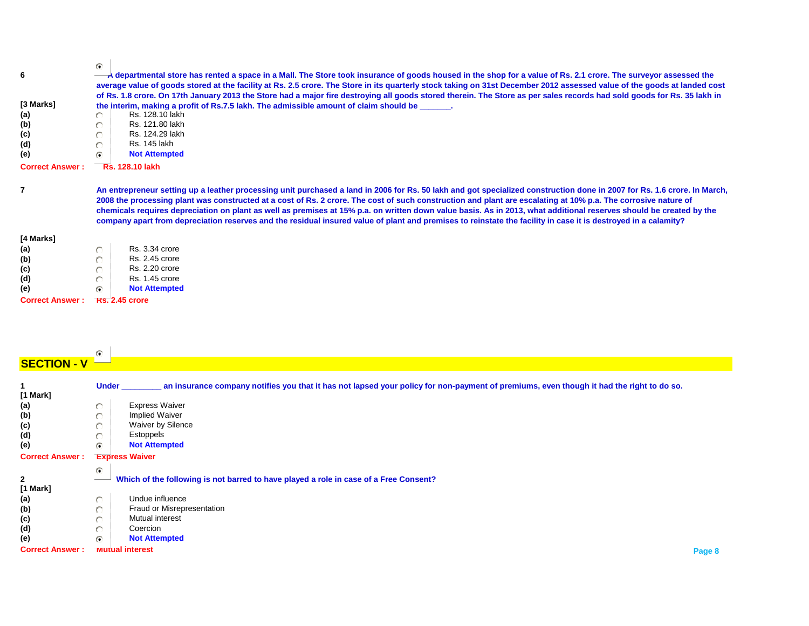| 6                             | G.<br>A departmental store has rented a space in a Mall. The Store took insurance of goods housed in the shop for a value of Rs. 2.1 crore. The surveyor assessed the<br>average value of goods stored at the facility at Rs. 2.5 crore. The Store in its quarterly stock taking on 31st December 2012 assessed value of the goods at landed cost                                                                                                                                                                                                                                                                                                                                   |  |  |
|-------------------------------|-------------------------------------------------------------------------------------------------------------------------------------------------------------------------------------------------------------------------------------------------------------------------------------------------------------------------------------------------------------------------------------------------------------------------------------------------------------------------------------------------------------------------------------------------------------------------------------------------------------------------------------------------------------------------------------|--|--|
| [3 Marks]<br>(a)<br>(b)       | of Rs. 1.8 crore. On 17th January 2013 the Store had a major fire destroying all goods stored therein. The Store as per sales records had sold goods for Rs. 35 lakh in<br>the interim, making a profit of Rs.7.5 lakh. The admissible amount of claim should be<br>Rs. 128.10 lakh<br>Rs. 121.80 lakh                                                                                                                                                                                                                                                                                                                                                                              |  |  |
| (c)<br>(d)<br>(e)             | Rs. 124.29 lakh<br>Rs. 145 lakh                                                                                                                                                                                                                                                                                                                                                                                                                                                                                                                                                                                                                                                     |  |  |
| <b>Correct Answer:</b>        | <b>Not Attempted</b><br>r.<br><b>Rs. 128.10 lakh</b>                                                                                                                                                                                                                                                                                                                                                                                                                                                                                                                                                                                                                                |  |  |
|                               | An entrepreneur setting up a leather processing unit purchased a land in 2006 for Rs. 50 lakh and got specialized construction done in 2007 for Rs. 1.6 crore. In March,<br>2008 the processing plant was constructed at a cost of Rs. 2 crore. The cost of such construction and plant are escalating at 10% p.a. The corrosive nature of<br>chemicals requires depreciation on plant as well as premises at 15% p.a. on written down value basis. As in 2013, what additional reserves should be created by the<br>company apart from depreciation reserves and the residual insured value of plant and premises to reinstate the facility in case it is destroyed in a calamity? |  |  |
| [4 Marks]                     |                                                                                                                                                                                                                                                                                                                                                                                                                                                                                                                                                                                                                                                                                     |  |  |
| (a)                           | <b>Rs. 3.34 crore</b>                                                                                                                                                                                                                                                                                                                                                                                                                                                                                                                                                                                                                                                               |  |  |
| (b)                           | <b>Rs. 2.45 crore</b>                                                                                                                                                                                                                                                                                                                                                                                                                                                                                                                                                                                                                                                               |  |  |
| (c)                           | <b>Rs. 2.20 crore</b>                                                                                                                                                                                                                                                                                                                                                                                                                                                                                                                                                                                                                                                               |  |  |
|                               |                                                                                                                                                                                                                                                                                                                                                                                                                                                                                                                                                                                                                                                                                     |  |  |
| (d)                           | <b>Rs. 1.45 crore</b>                                                                                                                                                                                                                                                                                                                                                                                                                                                                                                                                                                                                                                                               |  |  |
| (e)<br><b>Correct Answer:</b> | <b>Not Attempted</b><br>G<br><b>Rs. 2.45 crore</b>                                                                                                                                                                                                                                                                                                                                                                                                                                                                                                                                                                                                                                  |  |  |

# **SECTION - V**

| [1 Mark]               | <b>Under</b>          | an insurance company notifies you that it has not lapsed your policy for non-payment of premiums, even though it had the right to do so. |  |
|------------------------|-----------------------|------------------------------------------------------------------------------------------------------------------------------------------|--|
| (a)                    | n                     | <b>Express Waiver</b>                                                                                                                    |  |
| (b)                    |                       | <b>Implied Waiver</b>                                                                                                                    |  |
| (c)                    |                       | Waiver by Silence                                                                                                                        |  |
| (d)                    |                       | Estoppels                                                                                                                                |  |
| (e)                    | G.                    | <b>Not Attempted</b>                                                                                                                     |  |
| <b>Correct Answer:</b> | <b>Express Waiver</b> |                                                                                                                                          |  |
|                        |                       |                                                                                                                                          |  |
|                        | G.                    |                                                                                                                                          |  |
| $\mathbf{2}$           |                       | Which of the following is not barred to have played a role in case of a Free Consent?                                                    |  |
| [1 Mark]               |                       |                                                                                                                                          |  |
| (a)                    | n                     | Undue influence                                                                                                                          |  |
| (b)                    |                       | Fraud or Misrepresentation                                                                                                               |  |
| (c)                    |                       | Mutual interest                                                                                                                          |  |
| (d)                    |                       | Coercion                                                                                                                                 |  |
| (e)                    | G.                    | <b>Not Attempted</b>                                                                                                                     |  |